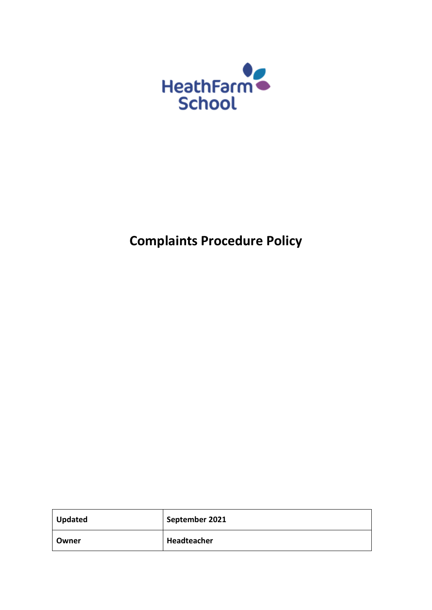

# **Complaints Procedure Policy**

| <b>Updated</b> | September 2021 |
|----------------|----------------|
| Owner          | Headteacher    |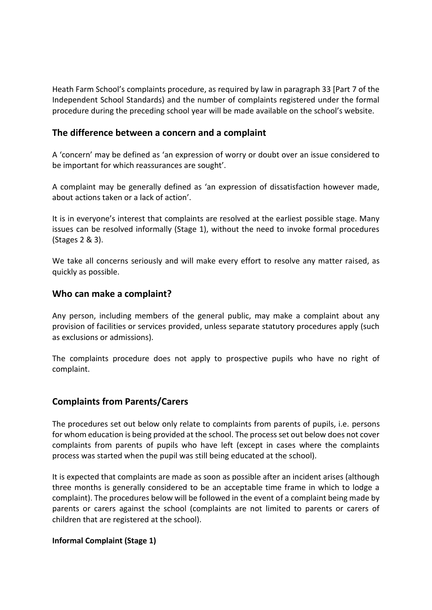Heath Farm School's complaints procedure, as required by law in paragraph 33 [Part 7 of the Independent School Standards) and the number of complaints registered under the formal procedure during the preceding school year will be made available on the school's website.

## **The difference between a concern and a complaint**

A 'concern' may be defined as 'an expression of worry or doubt over an issue considered to be important for which reassurances are sought'.

A complaint may be generally defined as 'an expression of dissatisfaction however made, about actions taken or a lack of action'.

It is in everyone's interest that complaints are resolved at the earliest possible stage. Many issues can be resolved informally (Stage 1), without the need to invoke formal procedures (Stages 2 & 3).

We take all concerns seriously and will make every effort to resolve any matter raised, as quickly as possible.

### **Who can make a complaint?**

Any person, including members of the general public, may make a complaint about any provision of facilities or services provided, unless separate statutory procedures apply (such as exclusions or admissions).

The complaints procedure does not apply to prospective pupils who have no right of complaint.

## **Complaints from Parents/Carers**

The procedures set out below only relate to complaints from parents of pupils, i.e. persons for whom education is being provided at the school. The process set out below does not cover complaints from parents of pupils who have left (except in cases where the complaints process was started when the pupil was still being educated at the school).

It is expected that complaints are made as soon as possible after an incident arises (although three months is generally considered to be an acceptable time frame in which to lodge a complaint). The procedures below will be followed in the event of a complaint being made by parents or carers against the school (complaints are not limited to parents or carers of children that are registered at the school).

#### **Informal Complaint (Stage 1)**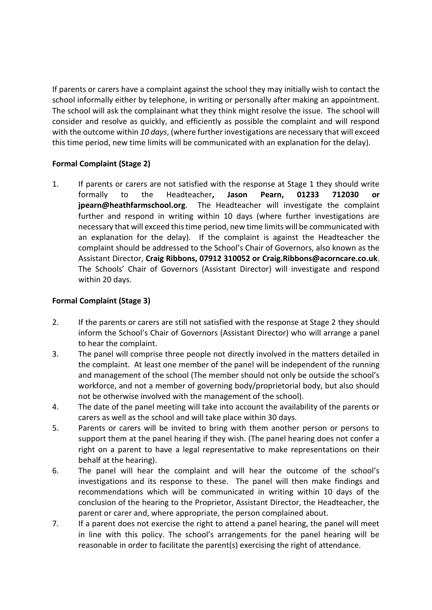If parents or carers have a complaint against the school they may initially wish to contact the school informally either by telephone, in writing or personally after making an appointment. The school will ask the complainant what they think might resolve the issue. The school will consider and resolve as quickly, and efficiently as possible the complaint and will respond with the outcome within *10 days*, (where further investigations are necessary that will exceed this time period, new time limits will be communicated with an explanation for the delay).

## **Formal Complaint (Stage 2)**

1. If parents or carers are not satisfied with the response at Stage 1 they should write formally to the Headteacher**, Jason Pearn, 01233 712030 or jpearn@heathfarmschool.org**. The Headteacher will investigate the complaint further and respond in writing within 10 days (where further investigations are necessary that will exceed this time period, new time limits will be communicated with an explanation for the delay). If the complaint is against the Headteacher the complaint should be addressed to the School's Chair of Governors, also known as the Assistant Director, **Craig Ribbons, 07912 310052 or Craig.Ribbons@acorncare.co.uk**. The Schools' Chair of Governors (Assistant Director) will investigate and respond within 20 days.

## **Formal Complaint (Stage 3)**

- 2. If the parents or carers are still not satisfied with the response at Stage 2 they should inform the School's Chair of Governors (Assistant Director) who will arrange a panel to hear the complaint.
- 3. The panel will comprise three people not directly involved in the matters detailed in the complaint. At least one member of the panel will be independent of the running and management of the school (The member should not only be outside the school's workforce, and not a member of governing body/proprietorial body, but also should not be otherwise involved with the management of the school).
- 4. The date of the panel meeting will take into account the availability of the parents or carers as well as the school and will take place within 30 days.
- 5. Parents or carers will be invited to bring with them another person or persons to support them at the panel hearing if they wish. (The panel hearing does not confer a right on a parent to have a legal representative to make representations on their behalf at the hearing).
- 6. The panel will hear the complaint and will hear the outcome of the school's investigations and its response to these. The panel will then make findings and recommendations which will be communicated in writing within 10 days of the conclusion of the hearing to the Proprietor, Assistant Director, the Headteacher, the parent or carer and, where appropriate, the person complained about.
- 7. If a parent does not exercise the right to attend a panel hearing, the panel will meet in line with this policy. The school's arrangements for the panel hearing will be reasonable in order to facilitate the parent(s) exercising the right of attendance.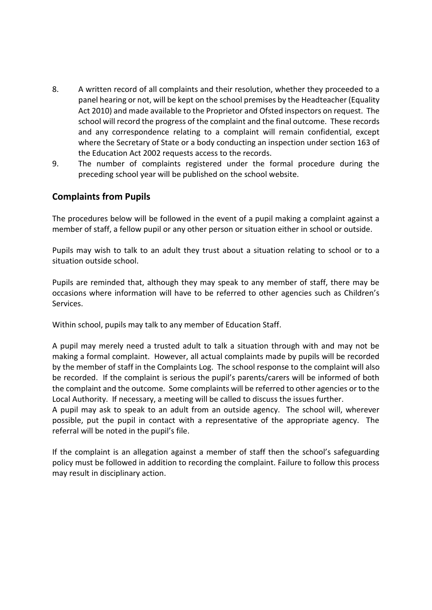- 8. A written record of all complaints and their resolution, whether they proceeded to a panel hearing or not, will be kept on the school premises by the Headteacher (Equality Act 2010) and made available to the Proprietor and Ofsted inspectors on request. The school will record the progress of the complaint and the final outcome. These records and any correspondence relating to a complaint will remain confidential, except where the Secretary of State or a body conducting an inspection under section 163 of the Education Act 2002 requests access to the records.
- 9. The number of complaints registered under the formal procedure during the preceding school year will be published on the school website.

## **Complaints from Pupils**

The procedures below will be followed in the event of a pupil making a complaint against a member of staff, a fellow pupil or any other person or situation either in school or outside.

Pupils may wish to talk to an adult they trust about a situation relating to school or to a situation outside school.

Pupils are reminded that, although they may speak to any member of staff, there may be occasions where information will have to be referred to other agencies such as Children's Services.

Within school, pupils may talk to any member of Education Staff.

A pupil may merely need a trusted adult to talk a situation through with and may not be making a formal complaint. However, all actual complaints made by pupils will be recorded by the member of staff in the Complaints Log. The school response to the complaint will also be recorded. If the complaint is serious the pupil's parents/carers will be informed of both the complaint and the outcome. Some complaints will be referred to other agencies or to the Local Authority. If necessary, a meeting will be called to discuss the issues further.

A pupil may ask to speak to an adult from an outside agency. The school will, wherever possible, put the pupil in contact with a representative of the appropriate agency. The referral will be noted in the pupil's file.

If the complaint is an allegation against a member of staff then the school's safeguarding policy must be followed in addition to recording the complaint. Failure to follow this process may result in disciplinary action.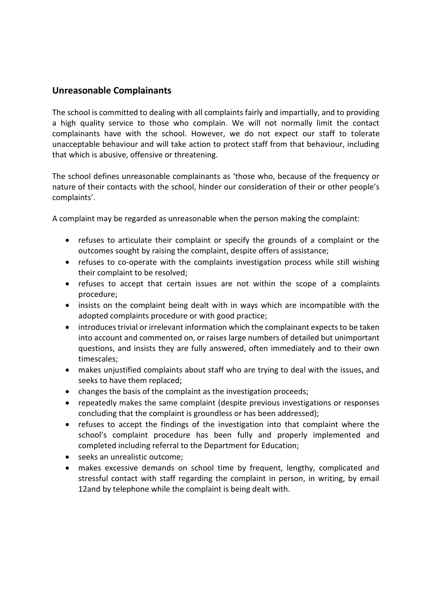## **Unreasonable Complainants**

The school is committed to dealing with all complaints fairly and impartially, and to providing a high quality service to those who complain. We will not normally limit the contact complainants have with the school. However, we do not expect our staff to tolerate unacceptable behaviour and will take action to protect staff from that behaviour, including that which is abusive, offensive or threatening.

The school defines unreasonable complainants as 'those who, because of the frequency or nature of their contacts with the school, hinder our consideration of their or other people's complaints'.

A complaint may be regarded as unreasonable when the person making the complaint:

- refuses to articulate their complaint or specify the grounds of a complaint or the outcomes sought by raising the complaint, despite offers of assistance;
- refuses to co-operate with the complaints investigation process while still wishing their complaint to be resolved;
- refuses to accept that certain issues are not within the scope of a complaints procedure;
- insists on the complaint being dealt with in ways which are incompatible with the adopted complaints procedure or with good practice;
- introduces trivial or irrelevant information which the complainant expects to be taken into account and commented on, or raises large numbers of detailed but unimportant questions, and insists they are fully answered, often immediately and to their own timescales;
- makes unjustified complaints about staff who are trying to deal with the issues, and seeks to have them replaced;
- changes the basis of the complaint as the investigation proceeds;
- repeatedly makes the same complaint (despite previous investigations or responses concluding that the complaint is groundless or has been addressed);
- refuses to accept the findings of the investigation into that complaint where the school's complaint procedure has been fully and properly implemented and completed including referral to the Department for Education;
- seeks an unrealistic outcome;
- makes excessive demands on school time by frequent, lengthy, complicated and stressful contact with staff regarding the complaint in person, in writing, by email 12and by telephone while the complaint is being dealt with.